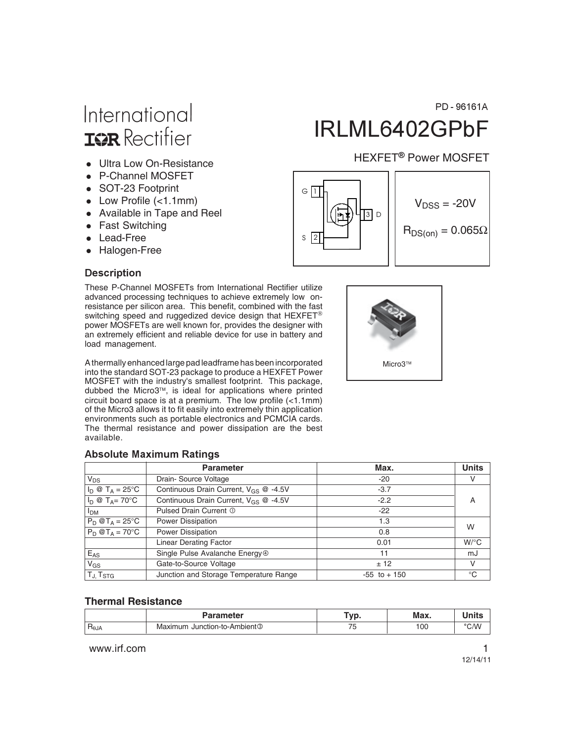# International **ISR** Rectifier

- Ultra Low On-Resistance
- P-Channel MOSFET
- SOT-23 Footprint
- Low Profile (<1.1mm)
- Available in Tape and Reel
- Fast Switching
- Lead-Free
- Halogen-Free

#### **Description**

These P-Channel MOSFETs from International Rectifier utilize advanced processing techniques to achieve extremely low onresistance per silicon area. This benefit, combined with the fast switching speed and ruggedized device design that  $\mathsf{H}\mathsf{EXF}\mathsf{ET}^\circledast$ power MOSFETs are well known for, provides the designer with an extremely efficient and reliable device for use in battery and load management.

A thermally enhanced large pad leadframe has been incorporated into the standard SOT-23 package to produce a HEXFET Power MOSFET with the industry's smallest footprint. This package, dubbed the Micro3™, is ideal for applications where printed circuit board space is at a premium. The low profile  $\left\langle \langle 1.1 \text{mm} \rangle \right\rangle$ of the Micro3 allows it to fit easily into extremely thin application environments such as portable electronics and PCMCIA cards. The thermal resistance and power dissipation are the best available.

#### Absolute Maximum Ratings

|                                 | <b>Parameter</b>                                  | Max.            | <b>Units</b> |
|---------------------------------|---------------------------------------------------|-----------------|--------------|
| $V_{DS}$                        | Drain-Source Voltage                              | $-20$           | V            |
| $I_D \otimes T_A = 25^{\circ}C$ | Continuous Drain Current, $V_{GS}$ @ -4.5V        | $-3.7$          |              |
| $I_D \otimes T_A = 70^{\circ}C$ | Continuous Drain Current, V <sub>GS</sub> @ -4.5V | $-2.2$          | A            |
| l <sub>DM</sub>                 | Pulsed Drain Current 1                            | $-22$           |              |
| $P_D @T_A = 25^\circ C$         | Power Dissipation                                 | 1.3             | W            |
| $P_D @T_A = 70^\circ C$         | Power Dissipation                                 | 0.8             |              |
|                                 | <b>Linear Derating Factor</b>                     | 0.01            | $W$ /°C      |
| $E_{AS}$                        | Single Pulse Avalanche Energy <sup>®</sup>        | 11              | mJ           |
| $V_{GS}$                        | Gate-to-Source Voltage                            | ± 12            | V            |
| $T_{J}$ , $T_{STG}$             | Junction and Storage Temperature Range            | $-55$ to $+150$ | $^{\circ}C$  |

#### **Thermal Resistance**

|                             | Parameter                         | <b></b><br>v | Max. |      |
|-----------------------------|-----------------------------------|--------------|------|------|
| $^{\cdot}$ R $_{\theta}$ JA | । Junction-to-Ambient③<br>Maximum | -            | 100  | °C/W |

www.irf.com **1** 

PD-96161A

# IRLML6402GPbF

### HEXFET<sup>®</sup> Power MOSFET



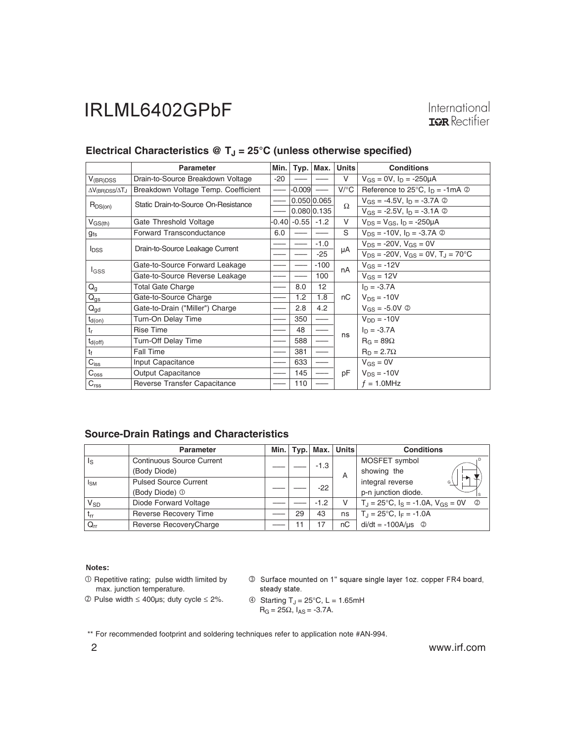International **IOR** Rectifier

|                                        | <b>Parameter</b>                     | Min.  | Typ.     | Max.        | <b>Units</b> | <b>Conditions</b>                                                 |
|----------------------------------------|--------------------------------------|-------|----------|-------------|--------------|-------------------------------------------------------------------|
| $V_{(BR)DSS}$                          | Drain-to-Source Breakdown Voltage    | $-20$ |          |             | V            | $V_{GS} = 0V$ , $I_D = -250 \mu A$                                |
| $\Delta V_{\text{(BR)DSS}}/\Delta T_J$ | Breakdown Voltage Temp. Coefficient  |       | $-0.009$ |             | $V$ /°C      | Reference to 25 $\degree$ C, $I_D = -1 \text{mA} \textcircled{2}$ |
| $R_{DS(on)}$                           | Static Drain-to-Source On-Resistance |       |          | 0.050 0.065 | Ω            | $V_{GS} = -4.5V$ , $I_D = -3.7A$ ②                                |
|                                        |                                      |       |          | 0.080 0.135 |              | $V_{GS} = -2.5V$ , $I_D = -3.1A$ ©                                |
| $V_{GS(th)}$                           | Gate Threshold Voltage               | -0.40 | $-0.55$  | $-1.2$      | V            | $V_{DS} = V_{GS}$ , $I_D = -250 \mu A$                            |
| $g_{fs}$                               | Forward Transconductance             | 6.0   |          |             | S            | $V_{DS}$ = -10V, $I_D$ = -3.7A $\circledcirc$                     |
|                                        | Drain-to-Source Leakage Current      |       |          | $-1.0$      |              | $V_{DS}$ = -20V, $V_{GS}$ = 0V                                    |
| <b>I</b> <sub>DSS</sub>                |                                      |       |          | $-25$       | μA           | $V_{DS}$ = -20V, $V_{GS}$ = 0V, $T_{J}$ = 70°C                    |
|                                        | Gate-to-Source Forward Leakage       |       |          | $-100$      | nA           | $V_{GS} = -12V$                                                   |
| <b>I</b> GSS                           | Gate-to-Source Reverse Leakage       |       |          | 100         |              | $V_{GS} = 12V$                                                    |
| $Q_{q}$                                | <b>Total Gate Charge</b>             |       | 8.0      | 12          |              | $I_D = -3.7A$                                                     |
| $Q_{gs}$                               | Gate-to-Source Charge                |       | 1.2      | 1.8         | пC           | $V_{DS} = -10V$                                                   |
| $Q_{\text{qd}}$                        | Gate-to-Drain ("Miller") Charge      |       | 2.8      | 4.2         |              | $V_{GS} = -5.0V$ $\odot$                                          |
| $t_{d(on)}$                            | Turn-On Delay Time                   |       | 350      |             |              | $V_{DD} = -10V$                                                   |
| $t_{r}$                                | <b>Rise Time</b>                     |       | 48       |             |              | $I_D = -3.7A$                                                     |
| $t_{d(off)}$                           | Turn-Off Delay Time                  |       | 588      |             | ns           | $R_G = 89\Omega$                                                  |
| t                                      | Fall Time                            |       | 381      |             |              | $R_D = 2.7\Omega$                                                 |
| $C_{\text{iss}}$                       | Input Capacitance                    |       | 633      |             |              | $V_{GS} = 0V$                                                     |
| $C_{\rm oss}$                          | <b>Output Capacitance</b>            |       | 145      |             | рF           | $V_{DS} = -10V$                                                   |
| C <sub>rss</sub>                       | Reverse Transfer Capacitance         |       | 110      |             |              | $f = 1.0$ MHz                                                     |

#### Electrical Characteristics @ T<sub>J</sub> = 25°C (unless otherwise specified)

#### **Source-Drain Ratings and Characteristics**

|                         | <b>Parameter</b>                 | Min. I |    | $Typ.$ Max. | <b>Units</b> | <b>Conditions</b>                                                        |  |  |  |  |  |  |  |  |  |  |  |  |  |                        |
|-------------------------|----------------------------------|--------|----|-------------|--------------|--------------------------------------------------------------------------|--|--|--|--|--|--|--|--|--|--|--|--|--|------------------------|
| $\mathsf{I}_\mathsf{S}$ | <b>Continuous Source Current</b> |        |    | $-1.3$      |              | MOSFET symbol                                                            |  |  |  |  |  |  |  |  |  |  |  |  |  |                        |
|                         | (Body Diode)                     |        |    |             | A            | showing the                                                              |  |  |  |  |  |  |  |  |  |  |  |  |  |                        |
| $I_{SM}$                | <b>Pulsed Source Current</b>     |        |    | $-22$       |              |                                                                          |  |  |  |  |  |  |  |  |  |  |  |  |  | integral reverse<br>G) |
|                         | (Body Diode) <sup>1</sup>        |        |    |             |              | p-n junction diode.                                                      |  |  |  |  |  |  |  |  |  |  |  |  |  |                        |
| $V_{SD}$                | Diode Forward Voltage            |        |    | $-1.2$      | V            | $T_{\rm J}$ = 25°C, $I_{\rm S}$ = -1.0A, $V_{\rm GS}$ = 0V<br>$\bigcirc$ |  |  |  |  |  |  |  |  |  |  |  |  |  |                        |
| $t_{rr}$                | <b>Reverse Recovery Time</b>     |        | 29 | 43          | ns           | $T_{\rm J} = 25^{\circ}$ C, $I_F = -1.0$ A                               |  |  |  |  |  |  |  |  |  |  |  |  |  |                        |
| $Q_{rr}$                | Reverse RecoveryCharge           |        | 1  | 7           | nC           | $di/dt = -100A/\mu s$ <sup>②</sup>                                       |  |  |  |  |  |  |  |  |  |  |  |  |  |                        |

#### Notes:

- Repetitive rating; pulse width limited by max. junction temperature.

 $\textcircled{2}$  Pulse width  $\leq$  400µs; duty cycle  $\leq$  2%.

3 Surface mounted on 1" square single layer 1oz. copper FR4 board, steady state.

$$
\begin{array}{ll}\n\textcircled{4} & \text{Starting } T_J = 25^{\circ} \text{C}, \ L = 1.65 \text{mH} \\
\text{R}_{\text{G}} = 25 \Omega, \ l_{\text{AS}} = -3.7 \text{A}.\n\end{array}
$$

\*\* For recommended footprint and soldering techniques refer to application note #AN-994.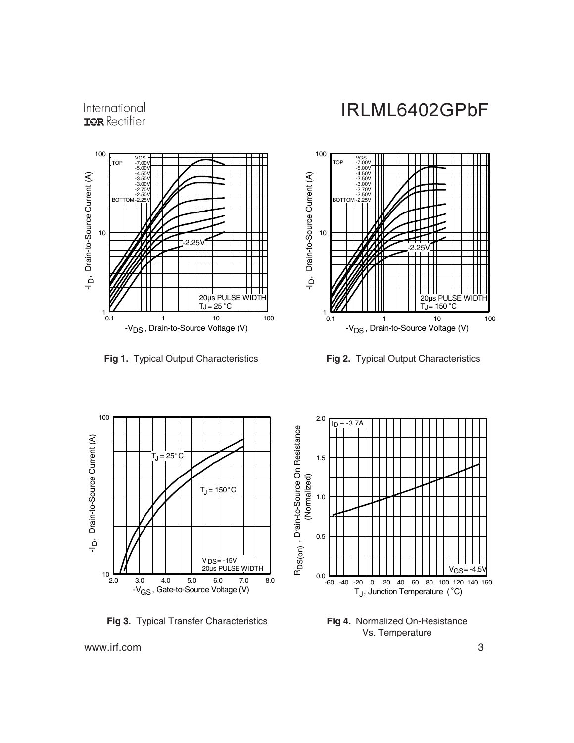International **IGR** Rectifier

## IRLML6402GPbF



**Fig 1.** Typical Output Characteristics **Fig 2.** Typical Output Characteristics





**Fig 3.** Typical Transfer Characteristics



**Fig 4.** Normalized On-Resistance Vs. Temperature

www.irf.com 3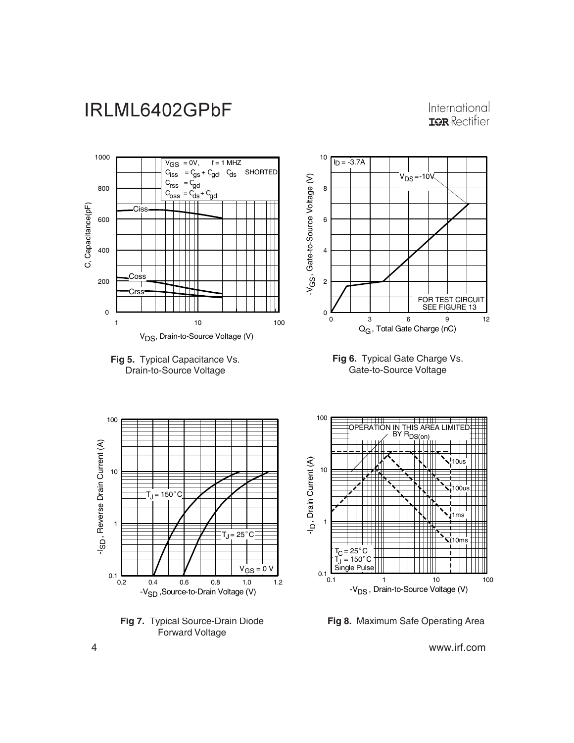International **IOR** Rectifier



**Fig 8.** Maximum Safe Operating Area

4 www.irf.com

Forward Voltage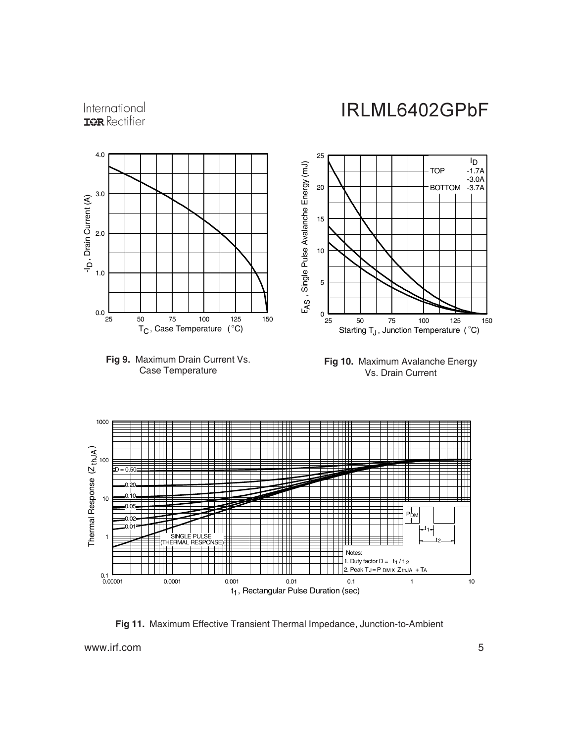

**Fig 11.** Maximum Effective Transient Thermal Impedance, Junction-to-Ambient

www.irf.com 5

International **IGR** Rectifier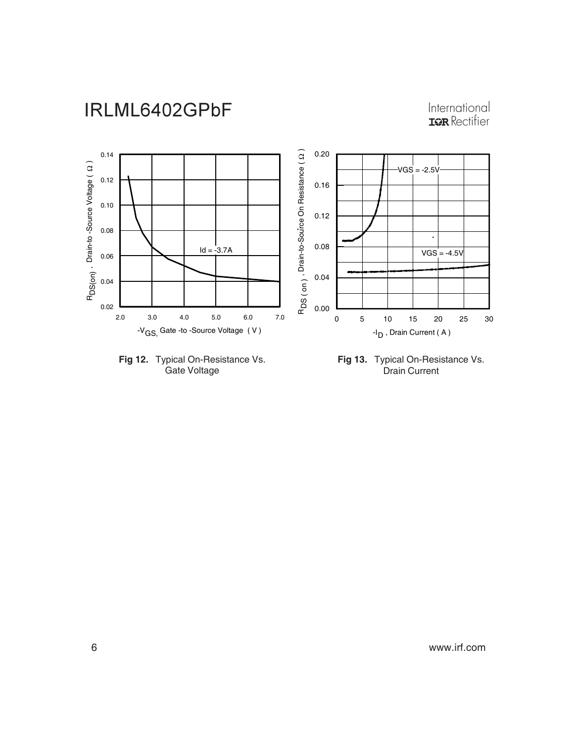# International<br>Tar Rectifier





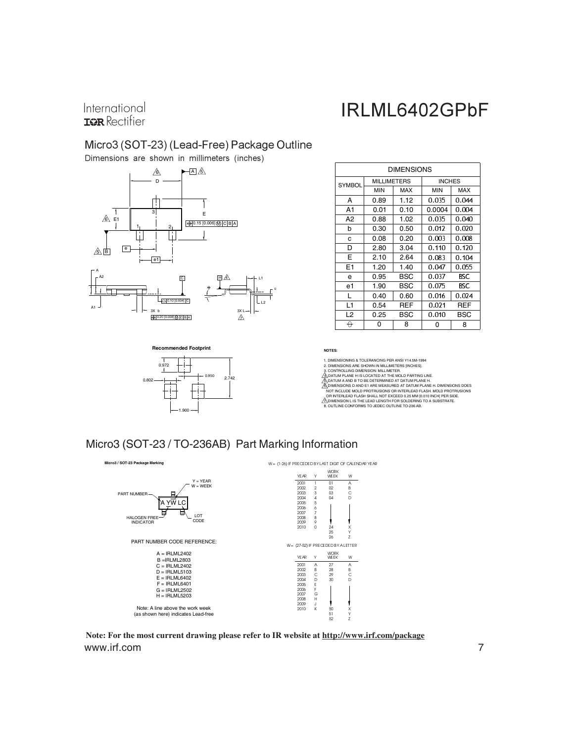International **IOR** Rectifier

# IRLML6402GPbF

#### Micro3 (SOT-23) (Lead-Free) Package Outline

Dimensions are shown in millimeters (inches)



0.972

0.802

1.900

**Recommended Footprint**

| <b>DIMENSIONS</b> |                    |      |               |       |  |  |
|-------------------|--------------------|------|---------------|-------|--|--|
| <b>SYMBOL</b>     | <b>MILLIMETERS</b> |      | <b>INCHES</b> |       |  |  |
|                   | <b>MIN</b>         | MAX  | <b>MIN</b>    | MAX   |  |  |
| А                 | 0.89               | 1.12 | 0.035         | 0.044 |  |  |
| A1                | 0.01               | 0.10 | 0.0004        | 0.004 |  |  |
| A2                | 0.88               | 1.02 | 0.035         | 0.040 |  |  |
| b                 | 0.30               | 0.50 | 0.012         | 0.020 |  |  |
| C                 | 0.08               | 0.20 | 0.003         | 0.008 |  |  |
| D                 | 2.80               | 3.04 | 0.110         | 0.120 |  |  |
| E                 | 2.10               | 2.64 | 0.083         | 0.104 |  |  |
| E <sub>1</sub>    | 1.20               | 1.40 | 0.047         | 0.055 |  |  |
| e                 | 0.95               | BSC  | 0.037         | BSC   |  |  |
| e1                | 1.90               | BSC  | 0.075         | BSC   |  |  |
| L                 | 0.40               | 0.60 | 0.016         | 0.024 |  |  |
| L1                | 0.54               | REF  | 0.021         | REF   |  |  |
| L <sub>2</sub>    | 0.25               | BSC  | 0.010         | BSC   |  |  |
| θ                 | 0                  | 8    | 0             | 8     |  |  |

**NOTES:**

c

1. DIMENSIONING & TOLERANCING PER ANSI Y14.5M-1994<br>2. DIMENSIONS ARE SHOWN IN MILLIMETERS (INCHES).<br>3. DIMENSIONS ARE SHOWN IN MILLIMETERS (INCHES).<br>ĜADATUM PLANE H IS LOCATED AT THE MOLD PARTING LINE.<br>ĜADATUM A AND B TO B

NOT INCLUDE MOLD PROTRUSIONS OR INTERLEAD FLASH. MOLD PROTRUSIONS<br>OR INTERLEAD FLASH SHALL NOT EXCEED 0.25 MM [0.010 INCH] PER SIDE.<br>20 DIMENSION L IS THE LEAD LENGTH FOR SOLDERING TO A SUBSTRATE.<br>8. OUTLINE CONFORMS TO JE

#### Micro3 (SOT-23 / TO-236AB) Part Marking Information

0.950 2.742



www.irf.com 7 **Note: For the most current drawing please refer to IR website at http://www.irf.com/package**